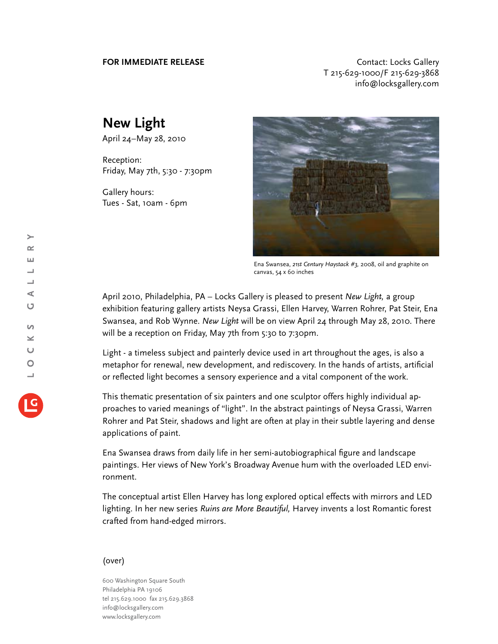**FOR IMMEDIATE RELEASE CONTACT EXAMPLE ASSESS** T 215-629-1000/F 215-629-3868 info@locksgallery.com

## **New Light**

April 24–May 28, 2010

Reception: Friday, May 7th, 5:30 - 7:30pm

Gallery hours: Tues - Sat, 10am - 6pm



Ena Swansea, *21st Century Haystack #3,* 2008, oil and graphite on canvas, 54 x 60 inches

April 2010, Philadelphia, PA – Locks Gallery is pleased to present *New Light,* a group exhibition featuring gallery artists Neysa Grassi, Ellen Harvey, Warren Rohrer, Pat Steir, Ena Swansea, and Rob Wynne. *New Light* will be on view April 24 through May 28, 2010. There will be a reception on Friday, May 7th from 5:30 to 7:30pm.

Light - a timeless subject and painterly device used in art throughout the ages, is also a metaphor for renewal, new development, and rediscovery. In the hands of artists, artificial or reflected light becomes a sensory experience and a vital component of the work.

This thematic presentation of six painters and one sculptor offers highly individual approaches to varied meanings of "light". In the abstract paintings of Neysa Grassi, Warren Rohrer and Pat Steir, shadows and light are often at play in their subtle layering and dense applications of paint.

Ena Swansea draws from daily life in her semi-autobiographical figure and landscape paintings. Her views of New York's Broadway Avenue hum with the overloaded LED environment.

The conceptual artist Ellen Harvey has long explored optical effects with mirrors and LED lighting. In her new series *Ruins are More Beautiful,* Harvey invents a lost Romantic forest crafted from hand-edged mirrors.

## (over)

600 Washington Square South Philadelphia PA 19106 tel 215.629.1000 fax 215.629.3868 info@locksgallery.com www.locksgallery.com